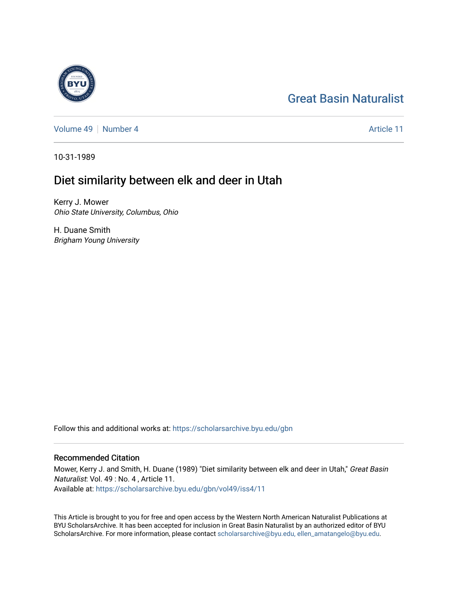# [Great Basin Naturalist](https://scholarsarchive.byu.edu/gbn)

[Volume 49](https://scholarsarchive.byu.edu/gbn/vol49) [Number 4](https://scholarsarchive.byu.edu/gbn/vol49/iss4) Article 11

10-31-1989

## Diet similarity between elk and deer in Utah

Kerry J. Mower Ohio State University, Columbus, Ohio

H. Duane Smith Brigham Young University

Follow this and additional works at: [https://scholarsarchive.byu.edu/gbn](https://scholarsarchive.byu.edu/gbn?utm_source=scholarsarchive.byu.edu%2Fgbn%2Fvol49%2Fiss4%2F11&utm_medium=PDF&utm_campaign=PDFCoverPages) 

### Recommended Citation

Mower, Kerry J. and Smith, H. Duane (1989) "Diet similarity between elk and deer in Utah," Great Basin Naturalist: Vol. 49 : No. 4 , Article 11. Available at: [https://scholarsarchive.byu.edu/gbn/vol49/iss4/11](https://scholarsarchive.byu.edu/gbn/vol49/iss4/11?utm_source=scholarsarchive.byu.edu%2Fgbn%2Fvol49%2Fiss4%2F11&utm_medium=PDF&utm_campaign=PDFCoverPages) 

This Article is brought to you for free and open access by the Western North American Naturalist Publications at BYU ScholarsArchive. It has been accepted for inclusion in Great Basin Naturalist by an authorized editor of BYU ScholarsArchive. For more information, please contact [scholarsarchive@byu.edu, ellen\\_amatangelo@byu.edu.](mailto:scholarsarchive@byu.edu,%20ellen_amatangelo@byu.edu)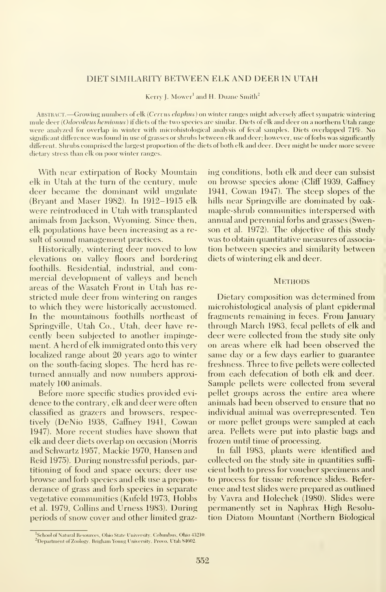#### DIET SIMILARITY BETWEEN ELK AND DEER IN UTAH

Kerry J. Mower<sup>1</sup> and H. Duane Smith<sup>2</sup>

Abstract. —Growing numbers of elk (Cervus elaphus) on winter ranges might adversely affect sympatric wintering mule deer (Odocoilcus hemionus) if diets of the two species are similar. Diets of elk and deer on a northern Utah range were analyzed for overlap in winter with microhistological analysis of fecal samples. Diets overlapped 71%. No significant difference was found in use of grasses or shrubs between elk and deer; however, use of forbs was significantly different. Shrubs comprised the largest proportion of the diets of both elk and deer. Deer might be under more severe dietary stress than elk on poor winter ranges.

With near extirpation of Rocky Mountain elk in Utah at the turn of the century, mule deer became the dominant wild ungulate (Bryant and Maser 1982). In 1912-1915 elk were reintroduced in Utah with transplanted animals from Jackson, Wyoming. Since then, elk populations have been increasing as a result of sound management practices.

Historically, wintering deer moved to low elevations on valley floors and bordering foothills. Residential, industrial, and commercial development of valleys and bench areas of the Wasatch Front in Utah has re stricted mule deer from wintering on ranges to which they were historically accustomed. In the mountainous foothills northeast of Springville, Utah Co., Utah, deer have re cently been subjected to another impinge ment. A herd of elk immigrated onto this very localized range about 20 years ago to winter on the south-facing slopes. The herd has re turned annually and now numbers approximately 100 animals.

Before more specific studies provided evi dence to the contrary, elk and deer were often classified as grazers and browsers, respectively (DeNio 1938, Gaffney 1941, Cowan 1947). More recent studies have shown that elk and deer diets overlap on occasion (Morris and Schwartz 1957, Mackie 1970, Hansen and Reid 1975). During nonstressful periods, partitioning of food and space occurs; deer use browse and forb species and elk use a preponderance of grass and forb species in separate vegetative communities (Kufeld 1973, Hobbs et al. 1979, Collins and Urness 1983). During periods of snow cover and other limited grazing conditions, both elk and deer can subsist on browse species alone (Cliff 1939, Gaffney 1941, Cowan 1947). The steep slopes of the hills near Springville are dominated by oakmaple-shrub communities interspersed with annual and perennial forbs and grasses (Swenson et al. 1972). The objective of this study was to obtain quantitative measures of associa tion between species and similarity between diets of wintering elk and deer.

#### **METHODS**

Dietary composition was determined from microhistological analysis of plant epidermal fragments remaining in feces. From January through March 1983, fecal pellets of elk and deer were collected from the study site only on areas where elk had been observed the same day or a few days earlier to guarantee freshness. Three to five pellets were collected from each defecation of both elk and deer. Sample pellets were collected from several pellet groups across the entire area where animals had been observed to ensure that no individual animal was overrepresented. Ten or more pellet groups were sampled at each area. Pellets were put into plastic bags and frozen until time of processing.

In fall 1983, plants were identified and collected on the study site in quantities suffi cient both to press for voucher specimens and to process for tissue reference slides. Refer ence and test slides were prepared as outlined by Vavra and Holechek (1980). Slides were permanently set in Naphrax High Resolution Diatom Mountant (Northern Biological

<sup>&#</sup>x27;School of Natural Resources, Ohio State University, Columbus, Ohio 43210. <sup>2</sup> Department of Zoology, Brigham Young University, Provo, Utah 84602.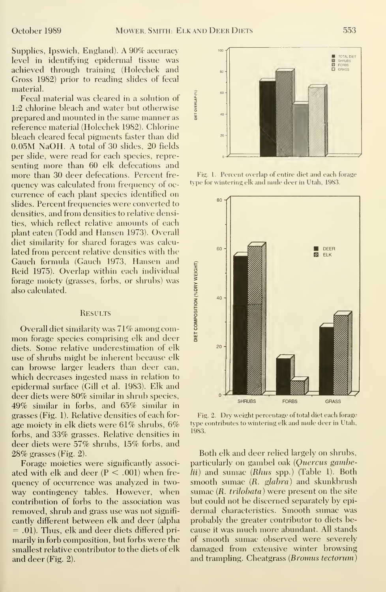Supplies, Ipswich, England). A 90% accuracy level in identifying epidermal tissue was achieved through training (Holechek and Gross 1982) prior to reading slides of fecal material.

Fecal material was cleared in a solution of  $\frac{2}{3}$  chlorine bleach and water but otherwise 1:2 chlorine bleach and water but otherwise prepared and mounted in the same manner as reference material (Holechek 1982). Chlorine bleach cleared fecal pigments faster than did 0.05M NaOH. A total of 30 slides, 20 fields per slide, were read for each species, repre senting more than 60 elk defecations and more than 30 deer defecations. Percent fre quency was calculated from frequency of oc currence of each plant species identified on slides. Percent frequencies were converted to densities, and from densities to relative densities, which reflect relative amounts of each plant eaten (Todd and Hansen 1973). Overall diet similarity for shared forages was calcu lated from percent relative densities with the Gauch formula (Gauch 1973, Hansen and<br>Reid 1975). Overlap within each individual<br>forage moiety (grasses, forbs, or shrubs) was<br>also calculated.<br>RESULTS<br>Overall diet similarity was 71% among com-<br>mon forage species comprisi Reid 1975). Overlap within each individual forage moiety (grasses, forbs, or shrubs) was also calculated.

#### **RESULTS**

Overall diet similarity was 71% among com mon forage species comprising elk and deer diets. Some relative underestimation of elk use of shrubs might be inherent because elk can browse larger leaders than deer can, which decreases ingested mass in relation to epidermal surface (Gill et al. 1983). Elk and deer diets were 80% similar in shrub species, 49% similar in forbs, and 65% similar in grasses (Fig. 1). Relative densities of each for age moiety in elk diets were 61% shrubs, 6% forbs, and 33% grasses. Relative densities in deer diets were 57% shrubs, 15% forbs, and 28% grasses (Fig. 2).

Forage moieties were significantly associ ated with elk and deer  $(P < .001)$  when frequency of occurrence was analyzed in two way contingency tables. However, when contribution of forbs to the association was removed, shrub and grass use was not significantly different between elk and deer (alpha = .01). Thus, elk and deer diets differed primarily in forb composition, but forbs were the smallest relative contributor to the diets of elk and deer (Fig. 2).



Fig. 1. Percent overlap of entire diet and each forage type for wintering elk and mule deer in Utah, 1983.



Fig. 2. Dry weight percentage of total diet each forage type contributes to wintering elk and mule deer in Utah, 1983.

Both elk and deer relied largely on shrubs, particularly on gambel oak (Quercus gambelii) and sumac (Rhus spp.) (Table 1). Both smooth sumac (R. glabra) and skunkbrush sumac (R. *trilobata*) were present on the site but could not be discerned separately by epidermal characteristics. Smooth sumac was probably the greater contributor to diets be cause it was much more abundant. All stands of smooth sumac observed were severely damaged from extensive winter browsing and trampling. Cheatgrass (*Bromus tectorum*)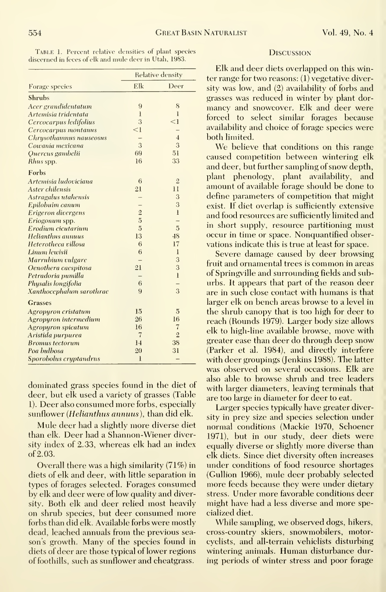| Forage species           | Relative density |                 |
|--------------------------|------------------|-----------------|
|                          | Elk              | Deer            |
| <b>Shrubs</b>            |                  |                 |
| Acer grandidentatum      | 9                | 8               |
| Artemisia tridentata     | $\mathbf{1}$     | l               |
| Cercocarpus ledifolius   | 3                | $\leq$ 1        |
| Cercocarpus montanus     | $\leq$ 1         |                 |
| Chrysothamnus nauseosus  |                  | $\overline{4}$  |
| Cowania mexicana         | 3                | 3               |
| Quercus gambelii         | 69               | 51              |
| Rhus spp.                | 16               | 33              |
| Forbs                    |                  |                 |
| Artemisia ludoviciana    | 6                | $\overline{2}$  |
| Aster chilensis          | 21               | $\overline{11}$ |
| Astragalus utahensis     |                  | 3               |
| Epilobuim canum          | -                | 3               |
| Erigeron divergens       | $\overline{2}$   | $\mathbf{I}$    |
| Eriogonum spp.           | $\overline{5}$   |                 |
| Erodium cicutarium       | $\overline{5}$   | 5               |
| Helianthus annuus        | 13               | 48              |
| Heterotheca villosa      | 6                | 17              |
| Linum lewisii            | 6                | $\mathbf{I}$    |
| Marrubium vulgare        |                  | 3               |
| Oenothera caespitosa     | 21               | 3               |
| Petradoria pumilla       |                  | $\mathbf{1}$    |
| Physalis longifolia      | 6                |                 |
| Xanthocephalum sarothrae | 9                | 3               |
| Grasses                  |                  |                 |
| Agropyron cristatum      | 15               | 5               |
| Agropyron intermedium    | 26               | 16              |
| Agropyron spicatum       | 16               | $\overline{7}$  |
| Aristida purpurea        | $\overline{7}$   | $\overline{2}$  |
| <b>Bromus</b> tectorum   | 14               | 38              |
| Poa bulbosa              | 20               | 31              |
| Sporobolus cryptandrus   | 1                |                 |

Table 1. Percent relative densities of plant species discerned in feces of elk and mule deer in Utah, 1983.

dominated grass species found in the diet of deer, but elk used a variety of grasses (Table 1). Deer also consumed more forbs, especially sunflower (Helianthus annuus), than did elk.

Mule deer had a slightly more diverse diet than elk. Deer had a Shannon-Wiener diversity index of 2.33, whereas elk had an index of 2.03.

Overall there was a high similarity  $(71%)$  in diets of elk and deer, with little separation in types of forages selected. Forages consumed by elk and deer were of low quality and diversity. Both elk and deer relied most heavily on shrub species, but deer consumed more forbs than did elk. Available forbs were mostly dead, leached annuals from the previous season's growth. Many of the species found in diets of deer are those typical of lower regions of foothills, such as sunflower and cheatgrass.

#### **DISCUSSION**

Elk and deer diets overlapped on this winter range for two reasons: (1) vegetative diversity was low, and (2) availability of forbs and grasses was reduced in winter by plant dormancy and snowcover. Elk and deer were forced to select similar forages because availability and choice of forage species were both limited.

We believe that conditions on this range caused competition between wintering elk and deer, but further sampling of snow depth, plant phenology, plant availability, and amount of available forage should be done to define parameters of competition that might exist. If diet overlap is sufficiently extensive and food resources are sufficiently limited and in short supply, resource partitioning must occur in time or space. Nonquantified observations indicate this is true at least for space.

Severe damage caused by deer browsing fruit and ornamental trees is common in areas of Springville and surrounding fields and suburbs. It appears that part of the reason deer are in such close contact with humans is that larger elk on bench areas browse to a level in the shrub canopy that is too high for deer to reach (Rounds 1979). Larger body size allows elk to high-line available browse, move with greater ease than deer do through deep snow (Parker et al. 1984), and directly interfere with deer groupings (Jenkins 1988). The latter was observed on several occasions. Elk are also able to browse shrub and tree leaders with larger diameters, leaving terminals that are too large in diameter for deer to eat.

Larger species typically have greater diversity in prey size and species selection under normal conditions (Mackie 1970, Schoener 1971), but in our study, deer diets were equally diverse or slightly more diverse than elk diets. Since diet diversity often increases under conditions of food resource shortages (Gullion 1966), mule deer probably selected more feeds because they were under dietary stress. Under more favorable conditions deer might have had a less diverse and more specialized diet.

While sampling, we observed dogs, hikers, cross-country skiers, snowmobilers, motorevelists, and all-terrain vehiclists disturbing wintering animals. Human disturbance during periods of winter stress and poor forage